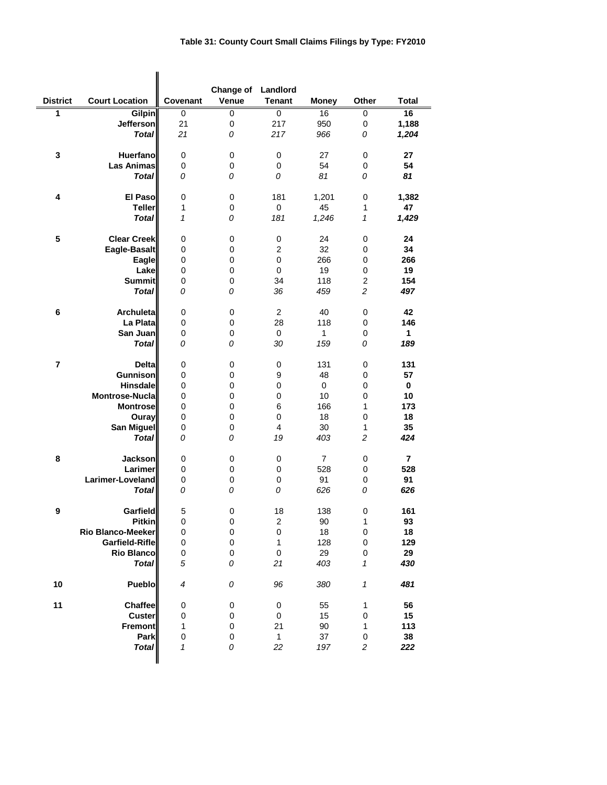|                         | <b>Court Location</b>     |           | Change of Landlord | <b>Tenant</b>           |                |                            |                |
|-------------------------|---------------------------|-----------|--------------------|-------------------------|----------------|----------------------------|----------------|
| <b>District</b>         |                           | Covenant  | Venue              |                         | <b>Money</b>   | Other                      | <b>Total</b>   |
| 1                       | Gilpin                    | $\pmb{0}$ | 0                  | 0                       | 16             | 0                          | 16             |
|                         | Jefferson<br><b>Total</b> | 21<br>21  | $\pmb{0}$<br>0     | 217<br>217              | 950<br>966     | $\pmb{0}$<br>0             | 1,188<br>1,204 |
|                         |                           |           |                    |                         |                |                            |                |
| $\mathbf 3$             | <b>Huerfano</b>           | 0         | 0                  | 0                       | 27             | 0                          | 27             |
|                         | <b>Las Animas</b>         | 0         | 0                  | 0                       | 54             | 0                          | 54             |
|                         | <b>Total</b>              | 0         | 0                  | 0                       | 81             | 0                          | 81             |
|                         |                           |           |                    |                         |                |                            |                |
| 4                       | El Paso                   | 0         | 0                  | 181                     | 1,201          | 0                          | 1,382          |
|                         | <b>Teller</b>             | 1         | 0                  | $\pmb{0}$               | 45             | 1                          | 47             |
|                         | <b>Total</b>              | 1         | 0                  | 181                     | 1,246          | 1                          | 1,429          |
|                         |                           |           |                    |                         |                |                            |                |
| 5                       | <b>Clear Creek</b>        | 0         | $\pmb{0}$          | 0                       | 24             | 0                          | 24             |
|                         | Eagle-Basalt              | 0         | $\pmb{0}$          | $\overline{c}$          | 32             | $\pmb{0}$                  | 34             |
|                         | Eagle                     | 0         | $\mathbf 0$        | 0                       | 266            | 0                          | 266            |
|                         | Lake                      | 0         | $\pmb{0}$          | 0                       | 19             | $\pmb{0}$                  | 19             |
|                         | <b>Summit</b>             | 0         | 0                  | 34                      | 118            | $\overline{c}$             | 154            |
|                         | <b>Total</b>              | 0         | 0                  | 36                      | 459            | $\overline{c}$             | 497            |
|                         |                           |           |                    |                         |                |                            |                |
| 6                       | Archuleta                 | 0         | 0                  | 2                       | 40             | 0                          | 42             |
|                         | La Plata                  | 0         | 0                  | 28                      | 118            | 0                          | 146            |
|                         | San Juan                  | 0         | $\pmb{0}$          | 0                       | $\mathbf{1}$   | 0                          | 1              |
|                         | <b>Total</b>              | 0         | 0                  | 30                      | 159            | 0                          | 189            |
| $\overline{\mathbf{r}}$ | <b>Delta</b>              |           |                    |                         | 131            |                            | 131            |
|                         | Gunnison                  | 0<br>0    | 0<br>0             | 0<br>9                  | 48             | 0<br>0                     | 57             |
|                         | <b>Hinsdale</b>           | 0         | $\mathbf 0$        | 0                       | 0              | 0                          | 0              |
|                         | Montrose-Nucla            | 0         | 0                  | 0                       | 10             | 0                          | 10             |
|                         | <b>Montrose</b>           | 0         | 0                  | 6                       | 166            | 1                          | 173            |
|                         | Ouray                     | 0         | $\mathbf 0$        | 0                       | 18             | 0                          | 18             |
|                         | <b>San Miguel</b>         | 0         | $\mathbf 0$        | 4                       | 30             | 1                          | 35             |
|                         | <b>Total</b>              | 0         | 0                  | 19                      | 403            | $\overline{c}$             | 424            |
|                         |                           |           |                    |                         |                |                            |                |
| 8                       | <b>Jackson</b>            | 0         | 0                  | 0                       | $\overline{7}$ | 0                          | $\overline{7}$ |
|                         | Larimer                   | 0         | 0                  | 0                       | 528            | 0                          | 528            |
|                         | Larimer-Loveland          | 0         | $\mathbf 0$        | 0                       | 91             | 0                          | 91             |
|                         | <b>Total</b>              | 0         | 0                  | 0                       | 626            | 0                          | 626            |
|                         |                           |           |                    |                         |                |                            |                |
| 9                       | Garfield                  | 5         | 0                  | 18                      | 138            | 0                          | 161            |
|                         | <b>Pitkin</b>             | 0         | $\pmb{0}$          | $\overline{\mathbf{c}}$ | 90             | 1                          | 93             |
|                         | Rio Blanco-Meeker         | 0         | $\pmb{0}$          | $\mathsf 0$             | 18             | $\pmb{0}$                  | 18             |
|                         | Garfield-Rifle            | 0         | 0                  | 1                       | 128            | 0                          | 129            |
|                         | <b>Rio Blanco</b>         | 0         | 0                  | $\pmb{0}$               | 29             | 0                          | 29             |
|                         | <b>Total</b>              | 5         | 0                  | 21                      | 403            | 1                          | 430            |
|                         | Pueblo                    | 4         |                    |                         |                |                            | 481            |
| 10                      |                           |           | 0                  | 96                      | 380            | $\boldsymbol{\mathcal{I}}$ |                |
| 11                      | Chaffee                   | 0         | 0                  | 0                       | 55             | 1                          | 56             |
|                         | <b>Custer</b>             | 0         | 0                  | 0                       | 15             | 0                          | 15             |
|                         | Fremont                   | 1         | 0                  | 21                      | 90             | 1                          | 113            |
|                         | Park                      | 0         | 0                  | $\mathbf{1}$            | 37             | 0                          | 38             |
|                         | <b>Total</b>              | 1         | 0                  | 22                      | 197            | $\overline{\mathbf{c}}$    | 222            |
|                         |                           |           |                    |                         |                |                            |                |